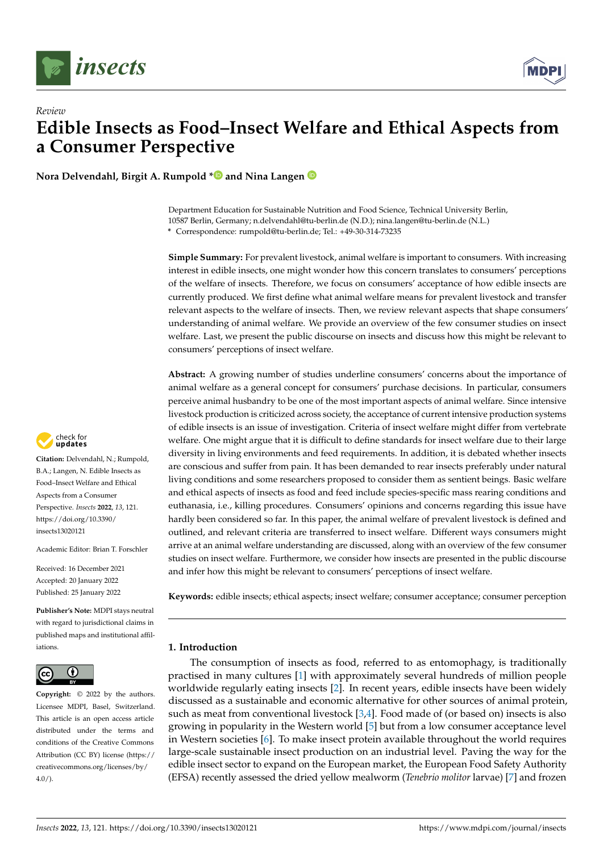

*Review*



# **Edible Insects as Food–Insect Welfare and Ethical Aspects from a Consumer Perspective**

**Nora Delvendahl, Birgit A. Rumpold [\\*](https://orcid.org/0000-0002-5664-0707) and Nina Langen**

Department Education for Sustainable Nutrition and Food Science, Technical University Berlin, 10587 Berlin, Germany; n.delvendahl@tu-berlin.de (N.D.); nina.langen@tu-berlin.de (N.L.) **\*** Correspondence: rumpold@tu-berlin.de; Tel.: +49-30-314-73235

**Simple Summary:** For prevalent livestock, animal welfare is important to consumers. With increasing interest in edible insects, one might wonder how this concern translates to consumers' perceptions of the welfare of insects. Therefore, we focus on consumers' acceptance of how edible insects are currently produced. We first define what animal welfare means for prevalent livestock and transfer relevant aspects to the welfare of insects. Then, we review relevant aspects that shape consumers' understanding of animal welfare. We provide an overview of the few consumer studies on insect welfare. Last, we present the public discourse on insects and discuss how this might be relevant to consumers' perceptions of insect welfare.

**Abstract:** A growing number of studies underline consumers' concerns about the importance of animal welfare as a general concept for consumers' purchase decisions. In particular, consumers perceive animal husbandry to be one of the most important aspects of animal welfare. Since intensive livestock production is criticized across society, the acceptance of current intensive production systems of edible insects is an issue of investigation. Criteria of insect welfare might differ from vertebrate welfare. One might argue that it is difficult to define standards for insect welfare due to their large diversity in living environments and feed requirements. In addition, it is debated whether insects are conscious and suffer from pain. It has been demanded to rear insects preferably under natural living conditions and some researchers proposed to consider them as sentient beings. Basic welfare and ethical aspects of insects as food and feed include species-specific mass rearing conditions and euthanasia, i.e., killing procedures. Consumers' opinions and concerns regarding this issue have hardly been considered so far. In this paper, the animal welfare of prevalent livestock is defined and outlined, and relevant criteria are transferred to insect welfare. Different ways consumers might arrive at an animal welfare understanding are discussed, along with an overview of the few consumer studies on insect welfare. Furthermore, we consider how insects are presented in the public discourse and infer how this might be relevant to consumers' perceptions of insect welfare.

**Keywords:** edible insects; ethical aspects; insect welfare; consumer acceptance; consumer perception

# **1. Introduction**

The consumption of insects as food, referred to as entomophagy, is traditionally practised in many cultures [\[1\]](#page-9-0) with approximately several hundreds of million people worldwide regularly eating insects [\[2\]](#page-9-1). In recent years, edible insects have been widely discussed as a sustainable and economic alternative for other sources of animal protein, such as meat from conventional livestock [\[3](#page-9-2)[,4\]](#page-10-0). Food made of (or based on) insects is also growing in popularity in the Western world [\[5\]](#page-10-1) but from a low consumer acceptance level in Western societies [\[6\]](#page-10-2). To make insect protein available throughout the world requires large-scale sustainable insect production on an industrial level. Paving the way for the edible insect sector to expand on the European market, the European Food Safety Authority (EFSA) recently assessed the dried yellow mealworm (*Tenebrio molitor* larvae) [\[7\]](#page-10-3) and frozen



**Citation:** Delvendahl, N.; Rumpold, B.A.; Langen, N. Edible Insects as Food–Insect Welfare and Ethical Aspects from a Consumer Perspective. *Insects* **2022**, *13*, 121. [https://doi.org/10.3390/](https://doi.org/10.3390/insects13020121) [insects13020121](https://doi.org/10.3390/insects13020121)

Academic Editor: Brian T. Forschler

Received: 16 December 2021 Accepted: 20 January 2022 Published: 25 January 2022

**Publisher's Note:** MDPI stays neutral with regard to jurisdictional claims in published maps and institutional affiliations.



**Copyright:** © 2022 by the authors. Licensee MDPI, Basel, Switzerland. This article is an open access article distributed under the terms and conditions of the Creative Commons Attribution (CC BY) license [\(https://](https://creativecommons.org/licenses/by/4.0/) [creativecommons.org/licenses/by/](https://creativecommons.org/licenses/by/4.0/)  $4.0/$ ).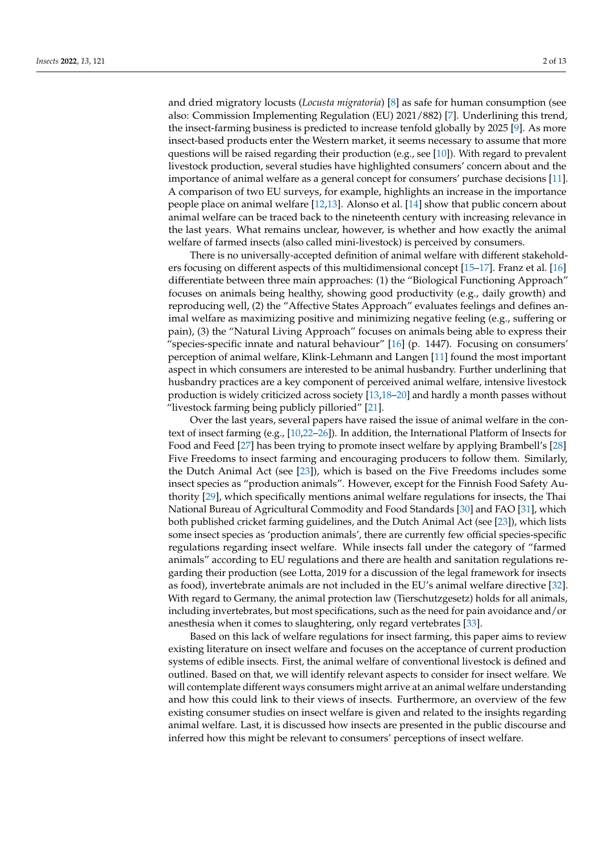and dried migratory locusts (*Locusta migratoria*) [\[8\]](#page-10-4) as safe for human consumption (see also: Commission Implementing Regulation (EU) 2021/882) [\[7\]](#page-10-3). Underlining this trend, the insect-farming business is predicted to increase tenfold globally by 2025 [\[9\]](#page-10-5). As more insect-based products enter the Western market, it seems necessary to assume that more questions will be raised regarding their production (e.g., see [\[10\]](#page-10-6)). With regard to prevalent livestock production, several studies have highlighted consumers' concern about and the importance of animal welfare as a general concept for consumers' purchase decisions [\[11\]](#page-10-7). A comparison of two EU surveys, for example, highlights an increase in the importance people place on animal welfare [\[12](#page-10-8)[,13\]](#page-10-9). Alonso et al. [\[14\]](#page-10-10) show that public concern about animal welfare can be traced back to the nineteenth century with increasing relevance in the last years. What remains unclear, however, is whether and how exactly the animal welfare of farmed insects (also called mini-livestock) is perceived by consumers.

There is no universally-accepted definition of animal welfare with different stakeholders focusing on different aspects of this multidimensional concept [\[15](#page-10-11)[–17\]](#page-10-12). Franz et al. [\[16\]](#page-10-13) differentiate between three main approaches: (1) the "Biological Functioning Approach" focuses on animals being healthy, showing good productivity (e.g., daily growth) and reproducing well, (2) the "Affective States Approach" evaluates feelings and defines animal welfare as maximizing positive and minimizing negative feeling (e.g., suffering or pain), (3) the "Natural Living Approach" focuses on animals being able to express their "species-specific innate and natural behaviour" [\[16\]](#page-10-13) (p. 1447). Focusing on consumers' perception of animal welfare, Klink-Lehmann and Langen [\[11\]](#page-10-7) found the most important aspect in which consumers are interested to be animal husbandry. Further underlining that husbandry practices are a key component of perceived animal welfare, intensive livestock production is widely criticized across society [\[13](#page-10-9)[,18–](#page-10-14)[20\]](#page-10-15) and hardly a month passes without "livestock farming being publicly pilloried" [\[21\]](#page-10-16).

Over the last years, several papers have raised the issue of animal welfare in the context of insect farming (e.g., [\[10,](#page-10-6)[22](#page-10-17)[–26\]](#page-10-18)). In addition, the International Platform of Insects for Food and Feed [\[27\]](#page-10-19) has been trying to promote insect welfare by applying Brambell's [\[28\]](#page-10-20) Five Freedoms to insect farming and encouraging producers to follow them. Similarly, the Dutch Animal Act (see [\[23\]](#page-10-21)), which is based on the Five Freedoms includes some insect species as "production animals". However, except for the Finnish Food Safety Authority [\[29\]](#page-10-22), which specifically mentions animal welfare regulations for insects, the Thai National Bureau of Agricultural Commodity and Food Standards [\[30\]](#page-10-23) and FAO [\[31\]](#page-11-0), which both published cricket farming guidelines, and the Dutch Animal Act (see [\[23\]](#page-10-21)), which lists some insect species as 'production animals', there are currently few official species-specific regulations regarding insect welfare. While insects fall under the category of "farmed animals" according to EU regulations and there are health and sanitation regulations regarding their production (see Lotta, 2019 for a discussion of the legal framework for insects as food), invertebrate animals are not included in the EU's animal welfare directive [\[32\]](#page-11-1). With regard to Germany, the animal protection law (Tierschutzgesetz) holds for all animals, including invertebrates, but most specifications, such as the need for pain avoidance and/or anesthesia when it comes to slaughtering, only regard vertebrates [\[33\]](#page-11-2).

Based on this lack of welfare regulations for insect farming, this paper aims to review existing literature on insect welfare and focuses on the acceptance of current production systems of edible insects. First, the animal welfare of conventional livestock is defined and outlined. Based on that, we will identify relevant aspects to consider for insect welfare. We will contemplate different ways consumers might arrive at an animal welfare understanding and how this could link to their views of insects. Furthermore, an overview of the few existing consumer studies on insect welfare is given and related to the insights regarding animal welfare. Last, it is discussed how insects are presented in the public discourse and inferred how this might be relevant to consumers' perceptions of insect welfare.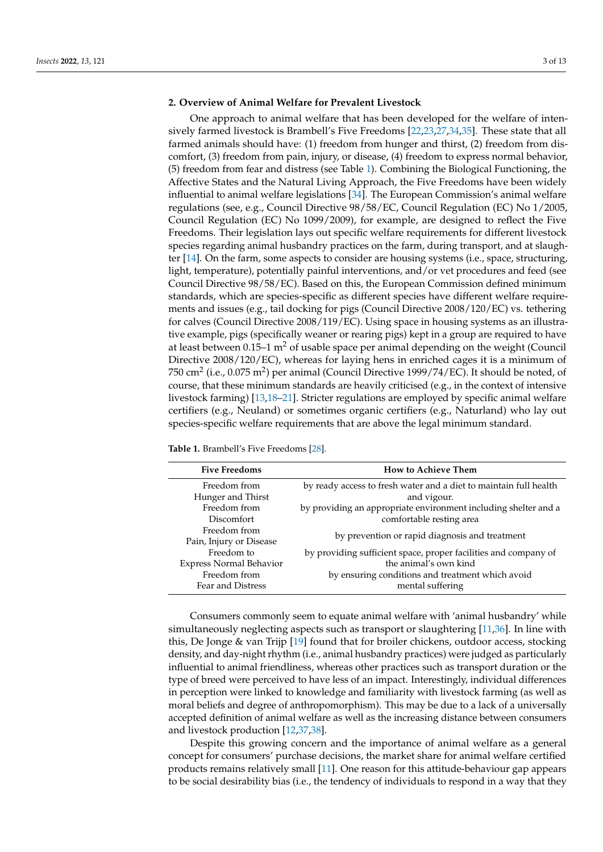### **2. Overview of Animal Welfare for Prevalent Livestock**

One approach to animal welfare that has been developed for the welfare of intensively farmed livestock is Brambell's Five Freedoms [\[22](#page-10-17)[,23](#page-10-21)[,27](#page-10-19)[,34](#page-11-3)[,35\]](#page-11-4). These state that all farmed animals should have: (1) freedom from hunger and thirst, (2) freedom from discomfort, (3) freedom from pain, injury, or disease, (4) freedom to express normal behavior, (5) freedom from fear and distress (see Table [1\)](#page-2-0). Combining the Biological Functioning, the Affective States and the Natural Living Approach, the Five Freedoms have been widely influential to animal welfare legislations [\[34\]](#page-11-3). The European Commission's animal welfare regulations (see, e.g., Council Directive 98/58/EC, Council Regulation (EC) No 1/2005, Council Regulation (EC) No 1099/2009), for example, are designed to reflect the Five Freedoms. Their legislation lays out specific welfare requirements for different livestock species regarding animal husbandry practices on the farm, during transport, and at slaughter [\[14\]](#page-10-10). On the farm, some aspects to consider are housing systems (i.e., space, structuring, light, temperature), potentially painful interventions, and/or vet procedures and feed (see Council Directive 98/58/EC). Based on this, the European Commission defined minimum standards, which are species-specific as different species have different welfare requirements and issues (e.g., tail docking for pigs (Council Directive 2008/120/EC) vs. tethering for calves (Council Directive 2008/119/EC). Using space in housing systems as an illustrative example, pigs (specifically weaner or rearing pigs) kept in a group are required to have at least between  $0.15-1$  m<sup>2</sup> of usable space per animal depending on the weight (Council Directive 2008/120/EC), whereas for laying hens in enriched cages it is a minimum of 750 cm $^2$  (i.e., 0.075 m $^2$ ) per animal (Council Directive 1999/74/EC). It should be noted, of course, that these minimum standards are heavily criticised (e.g., in the context of intensive livestock farming) [\[13,](#page-10-9)[18](#page-10-14)[–21\]](#page-10-16). Stricter regulations are employed by specific animal welfare certifiers (e.g., Neuland) or sometimes organic certifiers (e.g., Naturland) who lay out species-specific welfare requirements that are above the legal minimum standard.

<span id="page-2-0"></span>**Table 1.** Brambell's Five Freedoms [\[28\]](#page-10-20).

| <b>Five Freedoms</b>           | <b>How to Achieve Them</b>                                        |
|--------------------------------|-------------------------------------------------------------------|
| Freedom from                   | by ready access to fresh water and a diet to maintain full health |
| Hunger and Thirst              | and vigour.                                                       |
| Freedom from                   | by providing an appropriate environment including shelter and a   |
| Discomfort                     | comfortable resting area                                          |
| Freedom from                   | by prevention or rapid diagnosis and treatment                    |
| Pain, Injury or Disease        |                                                                   |
| Freedom to                     | by providing sufficient space, proper facilities and company of   |
| <b>Express Normal Behavior</b> | the animal's own kind                                             |
| Freedom from                   | by ensuring conditions and treatment which avoid                  |
| Fear and Distress              | mental suffering                                                  |

Consumers commonly seem to equate animal welfare with 'animal husbandry' while simultaneously neglecting aspects such as transport or slaughtering [\[11,](#page-10-7)[36\]](#page-11-5). In line with this, De Jonge & van Trijp [\[19\]](#page-10-24) found that for broiler chickens, outdoor access, stocking density, and day-night rhythm (i.e., animal husbandry practices) were judged as particularly influential to animal friendliness, whereas other practices such as transport duration or the type of breed were perceived to have less of an impact. Interestingly, individual differences in perception were linked to knowledge and familiarity with livestock farming (as well as moral beliefs and degree of anthropomorphism). This may be due to a lack of a universally accepted definition of animal welfare as well as the increasing distance between consumers and livestock production [\[12,](#page-10-8)[37,](#page-11-6)[38\]](#page-11-7).

Despite this growing concern and the importance of animal welfare as a general concept for consumers' purchase decisions, the market share for animal welfare certified products remains relatively small [\[11\]](#page-10-7). One reason for this attitude-behaviour gap appears to be social desirability bias (i.e., the tendency of individuals to respond in a way that they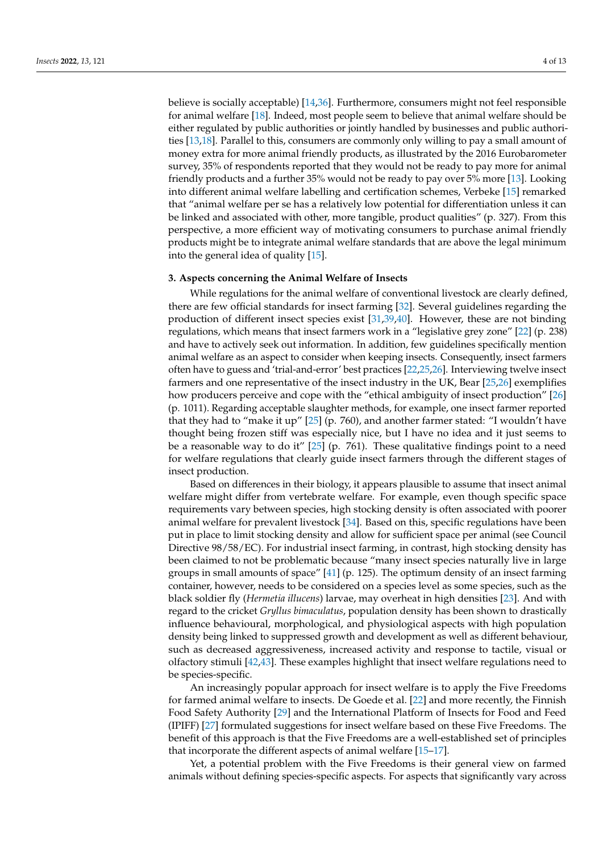believe is socially acceptable) [\[14](#page-10-10)[,36\]](#page-11-5). Furthermore, consumers might not feel responsible for animal welfare [\[18\]](#page-10-14). Indeed, most people seem to believe that animal welfare should be either regulated by public authorities or jointly handled by businesses and public authorities [\[13](#page-10-9)[,18\]](#page-10-14). Parallel to this, consumers are commonly only willing to pay a small amount of money extra for more animal friendly products, as illustrated by the 2016 Eurobarometer survey, 35% of respondents reported that they would not be ready to pay more for animal friendly products and a further 35% would not be ready to pay over 5% more [\[13\]](#page-10-9). Looking into different animal welfare labelling and certification schemes, Verbeke [\[15\]](#page-10-11) remarked that "animal welfare per se has a relatively low potential for differentiation unless it can be linked and associated with other, more tangible, product qualities" (p. 327). From this perspective, a more efficient way of motivating consumers to purchase animal friendly products might be to integrate animal welfare standards that are above the legal minimum into the general idea of quality [\[15\]](#page-10-11).

#### **3. Aspects concerning the Animal Welfare of Insects**

While regulations for the animal welfare of conventional livestock are clearly defined, there are few official standards for insect farming [\[32\]](#page-11-1). Several guidelines regarding the production of different insect species exist [\[31](#page-11-0)[,39](#page-11-8)[,40\]](#page-11-9). However, these are not binding regulations, which means that insect farmers work in a "legislative grey zone" [\[22\]](#page-10-17) (p. 238) and have to actively seek out information. In addition, few guidelines specifically mention animal welfare as an aspect to consider when keeping insects. Consequently, insect farmers often have to guess and 'trial-and-error' best practices [\[22](#page-10-17)[,25](#page-10-25)[,26\]](#page-10-18). Interviewing twelve insect farmers and one representative of the insect industry in the UK, Bear [\[25,](#page-10-25)[26\]](#page-10-18) exemplifies how producers perceive and cope with the "ethical ambiguity of insect production" [\[26\]](#page-10-18) (p. 1011). Regarding acceptable slaughter methods, for example, one insect farmer reported that they had to "make it up" [\[25\]](#page-10-25) (p. 760), and another farmer stated: "I wouldn't have thought being frozen stiff was especially nice, but I have no idea and it just seems to be a reasonable way to do it"  $[25]$  (p. 761). These qualitative findings point to a need for welfare regulations that clearly guide insect farmers through the different stages of insect production.

Based on differences in their biology, it appears plausible to assume that insect animal welfare might differ from vertebrate welfare. For example, even though specific space requirements vary between species, high stocking density is often associated with poorer animal welfare for prevalent livestock [\[34\]](#page-11-3). Based on this, specific regulations have been put in place to limit stocking density and allow for sufficient space per animal (see Council Directive 98/58/EC). For industrial insect farming, in contrast, high stocking density has been claimed to not be problematic because "many insect species naturally live in large groups in small amounts of space" [\[41\]](#page-11-10) (p. 125). The optimum density of an insect farming container, however, needs to be considered on a species level as some species, such as the black soldier fly (*Hermetia illucens*) larvae, may overheat in high densities [\[23\]](#page-10-21). And with regard to the cricket *Gryllus bimaculatus*, population density has been shown to drastically influence behavioural, morphological, and physiological aspects with high population density being linked to suppressed growth and development as well as different behaviour, such as decreased aggressiveness, increased activity and response to tactile, visual or olfactory stimuli [\[42](#page-11-11)[,43\]](#page-11-12). These examples highlight that insect welfare regulations need to be species-specific.

An increasingly popular approach for insect welfare is to apply the Five Freedoms for farmed animal welfare to insects. De Goede et al. [\[22\]](#page-10-17) and more recently, the Finnish Food Safety Authority [\[29\]](#page-10-22) and the International Platform of Insects for Food and Feed (IPIFF) [\[27\]](#page-10-19) formulated suggestions for insect welfare based on these Five Freedoms. The benefit of this approach is that the Five Freedoms are a well-established set of principles that incorporate the different aspects of animal welfare [\[15](#page-10-11)[–17\]](#page-10-12).

Yet, a potential problem with the Five Freedoms is their general view on farmed animals without defining species-specific aspects. For aspects that significantly vary across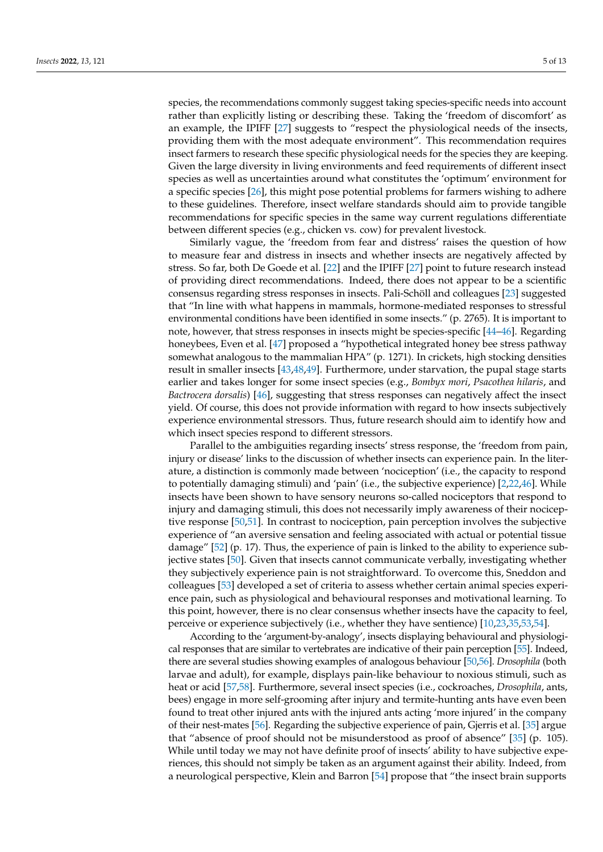species, the recommendations commonly suggest taking species-specific needs into account rather than explicitly listing or describing these. Taking the 'freedom of discomfort' as an example, the IPIFF [\[27\]](#page-10-19) suggests to "respect the physiological needs of the insects, providing them with the most adequate environment". This recommendation requires insect farmers to research these specific physiological needs for the species they are keeping. Given the large diversity in living environments and feed requirements of different insect species as well as uncertainties around what constitutes the 'optimum' environment for a specific species [\[26\]](#page-10-18), this might pose potential problems for farmers wishing to adhere to these guidelines. Therefore, insect welfare standards should aim to provide tangible recommendations for specific species in the same way current regulations differentiate between different species (e.g., chicken vs. cow) for prevalent livestock.

Similarly vague, the 'freedom from fear and distress' raises the question of how to measure fear and distress in insects and whether insects are negatively affected by stress. So far, both De Goede et al. [\[22\]](#page-10-17) and the IPIFF [\[27\]](#page-10-19) point to future research instead of providing direct recommendations. Indeed, there does not appear to be a scientific consensus regarding stress responses in insects. Pali-Schöll and colleagues [\[23\]](#page-10-21) suggested that "In line with what happens in mammals, hormone-mediated responses to stressful environmental conditions have been identified in some insects." (p. 2765). It is important to note, however, that stress responses in insects might be species-specific [\[44](#page-11-13)[–46\]](#page-11-14). Regarding honeybees, Even et al. [\[47\]](#page-11-15) proposed a "hypothetical integrated honey bee stress pathway somewhat analogous to the mammalian HPA" (p. 1271). In crickets, high stocking densities result in smaller insects [\[43](#page-11-12)[,48](#page-11-16)[,49\]](#page-11-17). Furthermore, under starvation, the pupal stage starts earlier and takes longer for some insect species (e.g., *Bombyx mori*, *Psacothea hilaris*, and *Bactrocera dorsalis*) [\[46\]](#page-11-14), suggesting that stress responses can negatively affect the insect yield. Of course, this does not provide information with regard to how insects subjectively experience environmental stressors. Thus, future research should aim to identify how and which insect species respond to different stressors.

Parallel to the ambiguities regarding insects' stress response, the 'freedom from pain, injury or disease' links to the discussion of whether insects can experience pain. In the literature, a distinction is commonly made between 'nociception' (i.e., the capacity to respond to potentially damaging stimuli) and 'pain' (i.e., the subjective experience) [\[2,](#page-9-1)[22,](#page-10-17)[46\]](#page-11-14). While insects have been shown to have sensory neurons so-called nociceptors that respond to injury and damaging stimuli, this does not necessarily imply awareness of their nociceptive response [\[50](#page-11-18)[,51\]](#page-11-19). In contrast to nociception, pain perception involves the subjective experience of "an aversive sensation and feeling associated with actual or potential tissue damage" [\[52\]](#page-11-20) (p. 17). Thus, the experience of pain is linked to the ability to experience subjective states [\[50\]](#page-11-18). Given that insects cannot communicate verbally, investigating whether they subjectively experience pain is not straightforward. To overcome this, Sneddon and colleagues [\[53\]](#page-11-21) developed a set of criteria to assess whether certain animal species experience pain, such as physiological and behavioural responses and motivational learning. To this point, however, there is no clear consensus whether insects have the capacity to feel, perceive or experience subjectively (i.e., whether they have sentience) [\[10](#page-10-6)[,23](#page-10-21)[,35](#page-11-4)[,53,](#page-11-21)[54\]](#page-11-22).

According to the 'argument-by-analogy', insects displaying behavioural and physiological responses that are similar to vertebrates are indicative of their pain perception [\[55\]](#page-11-23). Indeed, there are several studies showing examples of analogous behaviour [\[50,](#page-11-18)[56\]](#page-11-24). *Drosophila* (both larvae and adult), for example, displays pain-like behaviour to noxious stimuli, such as heat or acid [\[57,](#page-11-25)[58\]](#page-11-26). Furthermore, several insect species (i.e., cockroaches, *Drosophila*, ants, bees) engage in more self-grooming after injury and termite-hunting ants have even been found to treat other injured ants with the injured ants acting 'more injured' in the company of their nest-mates [\[56\]](#page-11-24). Regarding the subjective experience of pain, Gjerris et al. [\[35\]](#page-11-4) argue that "absence of proof should not be misunderstood as proof of absence" [\[35\]](#page-11-4) (p. 105). While until today we may not have definite proof of insects' ability to have subjective experiences, this should not simply be taken as an argument against their ability. Indeed, from a neurological perspective, Klein and Barron [\[54\]](#page-11-22) propose that "the insect brain supports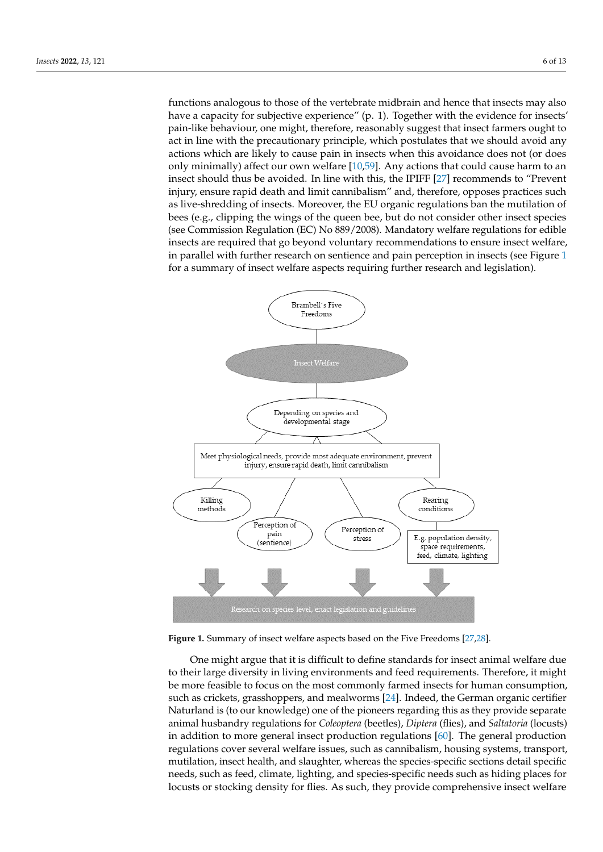functions analogous to those of the vertebrate midbrain and hence that insects may also have a capacity for subjective experience" (p. 1). Together with the evidence for insects' pain-like behaviour, one might, therefore, reasonably suggest that insect farmers ought to act in line with the precautionary principle, which postulates that we should avoid any actions which are likely to cause pain in insects when this avoidance does not (or does only minimally) affect our own welfare [\[10](#page-10-6)[,59\]](#page-11-27). Any actions that could cause harm to an insect should thus be avoided. In line with this, the IPIFF [\[27\]](#page-10-19) recommends to "Prevent injury, ensure rapid death and limit cannibalism" and, therefore, opposes practices such as live-shredding of insects. Moreover, the EU organic regulations ban the mutilation of bees (e.g., clipping the wings of the queen bee, but do not consider other insect species (see Commission Regulation (EC) No 889/2008). Mandatory welfare regulations for edible insects are required that go beyond voluntary recommendations to ensure insect welfare, in parallel with further research on sentience and pain perception in insects (see Figure [1](#page-5-0) for a summary of insect welfare aspects requiring further research and legislation).

<span id="page-5-0"></span>

**Figure 1.** Summary of insect welfare aspects based on the Five Freedoms [27,28]. **Figure 1.** Summary of insect welfare aspects based on the Five Freedoms [\[27,](#page-10-19)[28\]](#page-10-20).

to their large diversity in living environments and feed requirements. Therefore, it might be more feasible to focus on the most commonly farmed insects for human consumption, such as crickets, grasshoppers, and mealworms [\[24\]](#page-10-26). Indeed, the German organic certifier<br>Naturland is (to sur Imaxuladas) and of the niongers recepting this as they navyide concrete animal husbandry regulations for *Coleoptera* (beetles), *Diptera* (flies), and *Saltatoria* (locusts) in addition to more general insect production regulations [\[60\]](#page-11-28). The general production regulations cover several welfare issues, such as cannibalism, housing systems, transport, mutilation, insect health, and slaughter, whereas the species-specific sections detail specific needs, such as feed, climate, lighting, and species-specific needs such as hiding places for locusts or stocking density for flies. As such, they provide comprehensive insect welfare One might argue that it is difficult to define standards for insect animal welfare due Naturland is (to our knowledge) one of the pioneers regarding this as they provide separate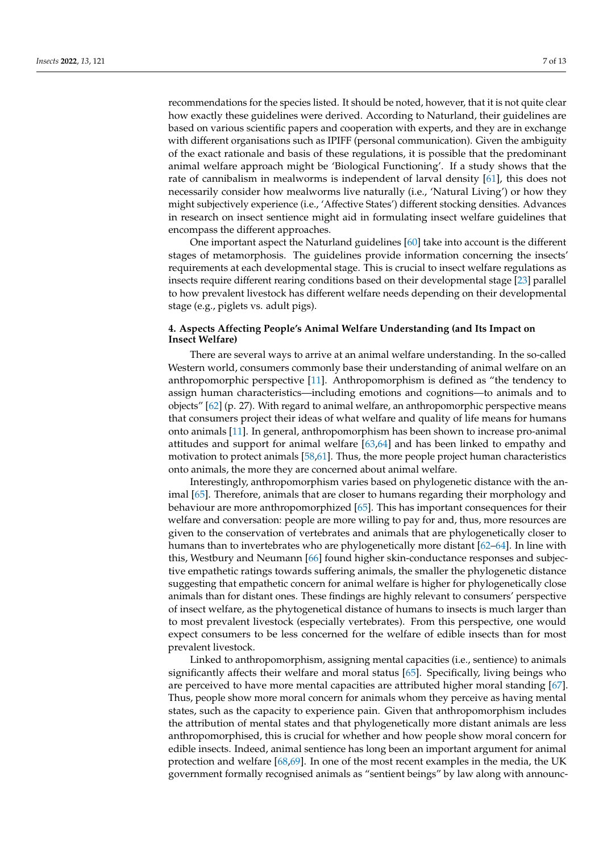recommendations for the species listed. It should be noted, however, that it is not quite clear how exactly these guidelines were derived. According to Naturland, their guidelines are based on various scientific papers and cooperation with experts, and they are in exchange with different organisations such as IPIFF (personal communication). Given the ambiguity of the exact rationale and basis of these regulations, it is possible that the predominant animal welfare approach might be 'Biological Functioning'. If a study shows that the rate of cannibalism in mealworms is independent of larval density [\[61\]](#page-11-29), this does not necessarily consider how mealworms live naturally (i.e., 'Natural Living') or how they might subjectively experience (i.e., 'Affective States') different stocking densities. Advances in research on insect sentience might aid in formulating insect welfare guidelines that encompass the different approaches.

One important aspect the Naturland guidelines [\[60\]](#page-11-28) take into account is the different stages of metamorphosis. The guidelines provide information concerning the insects' requirements at each developmental stage. This is crucial to insect welfare regulations as insects require different rearing conditions based on their developmental stage [\[23\]](#page-10-21) parallel to how prevalent livestock has different welfare needs depending on their developmental stage (e.g., piglets vs. adult pigs).

## **4. Aspects Affecting People's Animal Welfare Understanding (and Its Impact on Insect Welfare)**

There are several ways to arrive at an animal welfare understanding. In the so-called Western world, consumers commonly base their understanding of animal welfare on an anthropomorphic perspective [\[11\]](#page-10-7). Anthropomorphism is defined as "the tendency to assign human characteristics—including emotions and cognitions—to animals and to objects" [\[62\]](#page-12-0) (p. 27). With regard to animal welfare, an anthropomorphic perspective means that consumers project their ideas of what welfare and quality of life means for humans onto animals [\[11\]](#page-10-7). In general, anthropomorphism has been shown to increase pro-animal attitudes and support for animal welfare [\[63](#page-12-1)[,64\]](#page-12-2) and has been linked to empathy and motivation to protect animals [\[58,](#page-11-26)[61\]](#page-11-29). Thus, the more people project human characteristics onto animals, the more they are concerned about animal welfare.

Interestingly, anthropomorphism varies based on phylogenetic distance with the animal [\[65\]](#page-12-3). Therefore, animals that are closer to humans regarding their morphology and behaviour are more anthropomorphized [\[65\]](#page-12-3). This has important consequences for their welfare and conversation: people are more willing to pay for and, thus, more resources are given to the conservation of vertebrates and animals that are phylogenetically closer to humans than to invertebrates who are phylogenetically more distant [\[62–](#page-12-0)[64\]](#page-12-2). In line with this, Westbury and Neumann [\[66\]](#page-12-4) found higher skin-conductance responses and subjective empathetic ratings towards suffering animals, the smaller the phylogenetic distance suggesting that empathetic concern for animal welfare is higher for phylogenetically close animals than for distant ones. These findings are highly relevant to consumers' perspective of insect welfare, as the phytogenetical distance of humans to insects is much larger than to most prevalent livestock (especially vertebrates). From this perspective, one would expect consumers to be less concerned for the welfare of edible insects than for most prevalent livestock.

Linked to anthropomorphism, assigning mental capacities (i.e., sentience) to animals significantly affects their welfare and moral status [\[65\]](#page-12-3). Specifically, living beings who are perceived to have more mental capacities are attributed higher moral standing [\[67\]](#page-12-5). Thus, people show more moral concern for animals whom they perceive as having mental states, such as the capacity to experience pain. Given that anthropomorphism includes the attribution of mental states and that phylogenetically more distant animals are less anthropomorphised, this is crucial for whether and how people show moral concern for edible insects. Indeed, animal sentience has long been an important argument for animal protection and welfare [\[68,](#page-12-6)[69\]](#page-12-7). In one of the most recent examples in the media, the UK government formally recognised animals as "sentient beings" by law along with announc-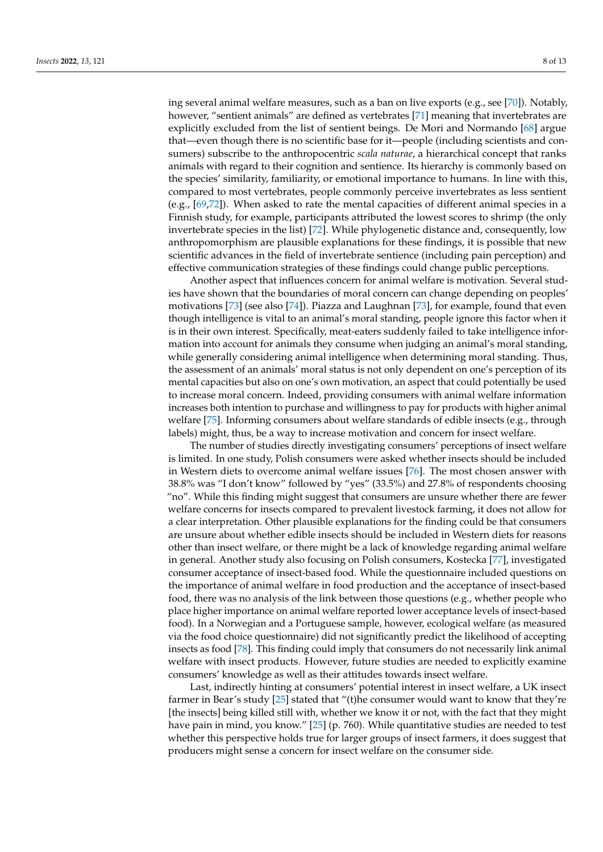ing several animal welfare measures, such as a ban on live exports (e.g., see [\[70\]](#page-12-8)). Notably, however, "sentient animals" are defined as vertebrates [\[71\]](#page-12-9) meaning that invertebrates are explicitly excluded from the list of sentient beings. De Mori and Normando [\[68\]](#page-12-6) argue that—even though there is no scientific base for it—people (including scientists and consumers) subscribe to the anthropocentric *scala naturae*, a hierarchical concept that ranks animals with regard to their cognition and sentience. Its hierarchy is commonly based on the species' similarity, familiarity, or emotional importance to humans. In line with this, compared to most vertebrates, people commonly perceive invertebrates as less sentient (e.g., [\[69,](#page-12-7)[72\]](#page-12-10)). When asked to rate the mental capacities of different animal species in a Finnish study, for example, participants attributed the lowest scores to shrimp (the only invertebrate species in the list) [\[72\]](#page-12-10). While phylogenetic distance and, consequently, low anthropomorphism are plausible explanations for these findings, it is possible that new scientific advances in the field of invertebrate sentience (including pain perception) and effective communication strategies of these findings could change public perceptions.

Another aspect that influences concern for animal welfare is motivation. Several studies have shown that the boundaries of moral concern can change depending on peoples' motivations [\[73\]](#page-12-11) (see also [\[74\]](#page-12-12)). Piazza and Laughnan [\[73\]](#page-12-11), for example, found that even though intelligence is vital to an animal's moral standing, people ignore this factor when it is in their own interest. Specifically, meat-eaters suddenly failed to take intelligence information into account for animals they consume when judging an animal's moral standing, while generally considering animal intelligence when determining moral standing. Thus, the assessment of an animals' moral status is not only dependent on one's perception of its mental capacities but also on one's own motivation, an aspect that could potentially be used to increase moral concern. Indeed, providing consumers with animal welfare information increases both intention to purchase and willingness to pay for products with higher animal welfare [\[75\]](#page-12-13). Informing consumers about welfare standards of edible insects (e.g., through labels) might, thus, be a way to increase motivation and concern for insect welfare.

The number of studies directly investigating consumers' perceptions of insect welfare is limited. In one study, Polish consumers were asked whether insects should be included in Western diets to overcome animal welfare issues [\[76\]](#page-12-14). The most chosen answer with 38.8% was "I don't know" followed by "yes" (33.5%) and 27.8% of respondents choosing "no". While this finding might suggest that consumers are unsure whether there are fewer welfare concerns for insects compared to prevalent livestock farming, it does not allow for a clear interpretation. Other plausible explanations for the finding could be that consumers are unsure about whether edible insects should be included in Western diets for reasons other than insect welfare, or there might be a lack of knowledge regarding animal welfare in general. Another study also focusing on Polish consumers, Kostecka [\[77\]](#page-12-15), investigated consumer acceptance of insect-based food. While the questionnaire included questions on the importance of animal welfare in food production and the acceptance of insect-based food, there was no analysis of the link between those questions (e.g., whether people who place higher importance on animal welfare reported lower acceptance levels of insect-based food). In a Norwegian and a Portuguese sample, however, ecological welfare (as measured via the food choice questionnaire) did not significantly predict the likelihood of accepting insects as food [\[78\]](#page-12-16). This finding could imply that consumers do not necessarily link animal welfare with insect products. However, future studies are needed to explicitly examine consumers' knowledge as well as their attitudes towards insect welfare.

Last, indirectly hinting at consumers' potential interest in insect welfare, a UK insect farmer in Bear's study [\[25\]](#page-10-25) stated that "(t)he consumer would want to know that they're [the insects] being killed still with, whether we know it or not, with the fact that they might have pain in mind, you know." [\[25\]](#page-10-25) (p. 760). While quantitative studies are needed to test whether this perspective holds true for larger groups of insect farmers, it does suggest that producers might sense a concern for insect welfare on the consumer side.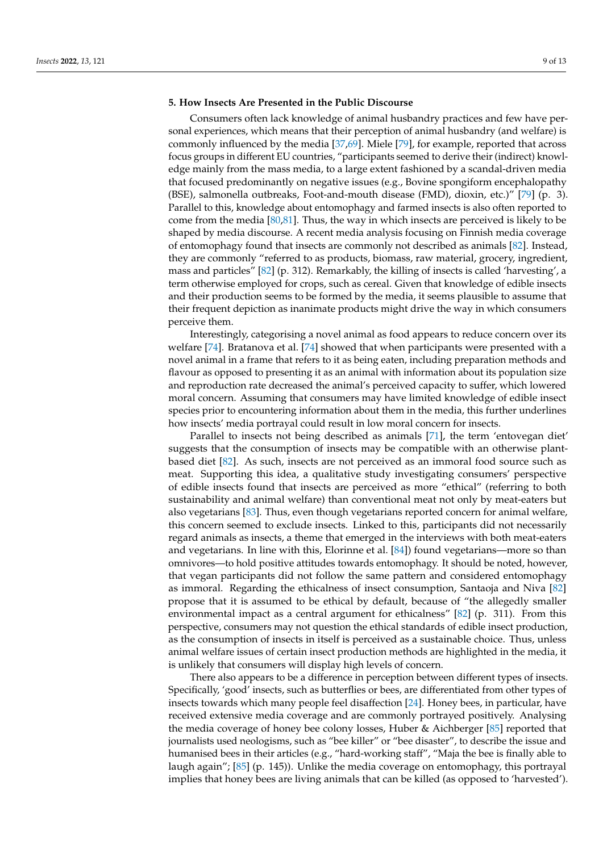# **5. How Insects Are Presented in the Public Discourse**

Consumers often lack knowledge of animal husbandry practices and few have personal experiences, which means that their perception of animal husbandry (and welfare) is commonly influenced by the media [\[37,](#page-11-6)[69\]](#page-12-7). Miele [\[79\]](#page-12-17), for example, reported that across focus groups in different EU countries, "participants seemed to derive their (indirect) knowledge mainly from the mass media, to a large extent fashioned by a scandal-driven media that focused predominantly on negative issues (e.g., Bovine spongiform encephalopathy (BSE), salmonella outbreaks, Foot-and-mouth disease (FMD), dioxin, etc.)" [\[79\]](#page-12-17) (p. 3). Parallel to this, knowledge about entomophagy and farmed insects is also often reported to come from the media [\[80,](#page-12-18)[81\]](#page-12-19). Thus, the way in which insects are perceived is likely to be shaped by media discourse. A recent media analysis focusing on Finnish media coverage of entomophagy found that insects are commonly not described as animals [\[82\]](#page-12-20). Instead, they are commonly "referred to as products, biomass, raw material, grocery, ingredient, mass and particles" [\[82\]](#page-12-20) (p. 312). Remarkably, the killing of insects is called 'harvesting', a term otherwise employed for crops, such as cereal. Given that knowledge of edible insects and their production seems to be formed by the media, it seems plausible to assume that their frequent depiction as inanimate products might drive the way in which consumers perceive them.

Interestingly, categorising a novel animal as food appears to reduce concern over its welfare [\[74\]](#page-12-12). Bratanova et al. [\[74\]](#page-12-12) showed that when participants were presented with a novel animal in a frame that refers to it as being eaten, including preparation methods and flavour as opposed to presenting it as an animal with information about its population size and reproduction rate decreased the animal's perceived capacity to suffer, which lowered moral concern. Assuming that consumers may have limited knowledge of edible insect species prior to encountering information about them in the media, this further underlines how insects' media portrayal could result in low moral concern for insects.

Parallel to insects not being described as animals [\[71\]](#page-12-9), the term 'entovegan diet' suggests that the consumption of insects may be compatible with an otherwise plantbased diet [\[82\]](#page-12-20). As such, insects are not perceived as an immoral food source such as meat. Supporting this idea, a qualitative study investigating consumers' perspective of edible insects found that insects are perceived as more "ethical" (referring to both sustainability and animal welfare) than conventional meat not only by meat-eaters but also vegetarians [\[83\]](#page-12-21). Thus, even though vegetarians reported concern for animal welfare, this concern seemed to exclude insects. Linked to this, participants did not necessarily regard animals as insects, a theme that emerged in the interviews with both meat-eaters and vegetarians. In line with this, Elorinne et al. [\[84\]](#page-12-22)) found vegetarians—more so than omnivores—to hold positive attitudes towards entomophagy. It should be noted, however, that vegan participants did not follow the same pattern and considered entomophagy as immoral. Regarding the ethicalness of insect consumption, Santaoja and Niva [\[82\]](#page-12-20) propose that it is assumed to be ethical by default, because of "the allegedly smaller environmental impact as a central argument for ethicalness" [\[82\]](#page-12-20) (p. 311). From this perspective, consumers may not question the ethical standards of edible insect production, as the consumption of insects in itself is perceived as a sustainable choice. Thus, unless animal welfare issues of certain insect production methods are highlighted in the media, it is unlikely that consumers will display high levels of concern.

There also appears to be a difference in perception between different types of insects. Specifically, 'good' insects, such as butterflies or bees, are differentiated from other types of insects towards which many people feel disaffection [\[24\]](#page-10-26). Honey bees, in particular, have received extensive media coverage and are commonly portrayed positively. Analysing the media coverage of honey bee colony losses, Huber & Aichberger [\[85\]](#page-12-23) reported that journalists used neologisms, such as "bee killer" or "bee disaster", to describe the issue and humanised bees in their articles (e.g., "hard-working staff", "Maja the bee is finally able to laugh again"; [\[85\]](#page-12-23) (p. 145)). Unlike the media coverage on entomophagy, this portrayal implies that honey bees are living animals that can be killed (as opposed to 'harvested').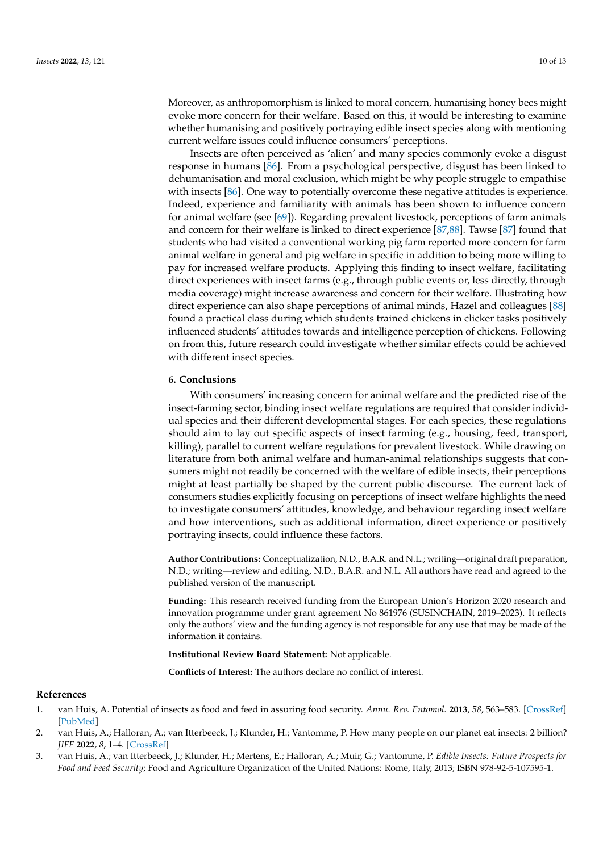Moreover, as anthropomorphism is linked to moral concern, humanising honey bees might evoke more concern for their welfare. Based on this, it would be interesting to examine whether humanising and positively portraying edible insect species along with mentioning current welfare issues could influence consumers' perceptions.

Insects are often perceived as 'alien' and many species commonly evoke a disgust response in humans [\[86\]](#page-12-24). From a psychological perspective, disgust has been linked to dehumanisation and moral exclusion, which might be why people struggle to empathise with insects [\[86\]](#page-12-24). One way to potentially overcome these negative attitudes is experience. Indeed, experience and familiarity with animals has been shown to influence concern for animal welfare (see [\[69\]](#page-12-7)). Regarding prevalent livestock, perceptions of farm animals and concern for their welfare is linked to direct experience [\[87](#page-12-25)[,88\]](#page-12-26). Tawse [\[87\]](#page-12-25) found that students who had visited a conventional working pig farm reported more concern for farm animal welfare in general and pig welfare in specific in addition to being more willing to pay for increased welfare products. Applying this finding to insect welfare, facilitating direct experiences with insect farms (e.g., through public events or, less directly, through media coverage) might increase awareness and concern for their welfare. Illustrating how direct experience can also shape perceptions of animal minds, Hazel and colleagues [\[88\]](#page-12-26) found a practical class during which students trained chickens in clicker tasks positively influenced students' attitudes towards and intelligence perception of chickens. Following on from this, future research could investigate whether similar effects could be achieved with different insect species.

### **6. Conclusions**

With consumers' increasing concern for animal welfare and the predicted rise of the insect-farming sector, binding insect welfare regulations are required that consider individual species and their different developmental stages. For each species, these regulations should aim to lay out specific aspects of insect farming (e.g., housing, feed, transport, killing), parallel to current welfare regulations for prevalent livestock. While drawing on literature from both animal welfare and human-animal relationships suggests that consumers might not readily be concerned with the welfare of edible insects, their perceptions might at least partially be shaped by the current public discourse. The current lack of consumers studies explicitly focusing on perceptions of insect welfare highlights the need to investigate consumers' attitudes, knowledge, and behaviour regarding insect welfare and how interventions, such as additional information, direct experience or positively portraying insects, could influence these factors.

**Author Contributions:** Conceptualization, N.D., B.A.R. and N.L.; writing—original draft preparation, N.D.; writing—review and editing, N.D., B.A.R. and N.L. All authors have read and agreed to the published version of the manuscript.

**Funding:** This research received funding from the European Union's Horizon 2020 research and innovation programme under grant agreement No 861976 (SUSINCHAIN, 2019–2023). It reflects only the authors' view and the funding agency is not responsible for any use that may be made of the information it contains.

**Institutional Review Board Statement:** Not applicable.

**Conflicts of Interest:** The authors declare no conflict of interest.

#### **References**

- <span id="page-9-0"></span>1. van Huis, A. Potential of insects as food and feed in assuring food security. *Annu. Rev. Entomol.* **2013**, *58*, 563–583. [\[CrossRef\]](http://doi.org/10.1146/annurev-ento-120811-153704) [\[PubMed\]](http://www.ncbi.nlm.nih.gov/pubmed/23020616)
- <span id="page-9-1"></span>2. van Huis, A.; Halloran, A.; van Itterbeeck, J.; Klunder, H.; Vantomme, P. How many people on our planet eat insects: 2 billion? *JIFF* **2022**, *8*, 1–4. [\[CrossRef\]](http://doi.org/10.3920/JIFF2021.x010)
- <span id="page-9-2"></span>3. van Huis, A.; van Itterbeeck, J.; Klunder, H.; Mertens, E.; Halloran, A.; Muir, G.; Vantomme, P. *Edible Insects: Future Prospects for Food and Feed Security*; Food and Agriculture Organization of the United Nations: Rome, Italy, 2013; ISBN 978-92-5-107595-1.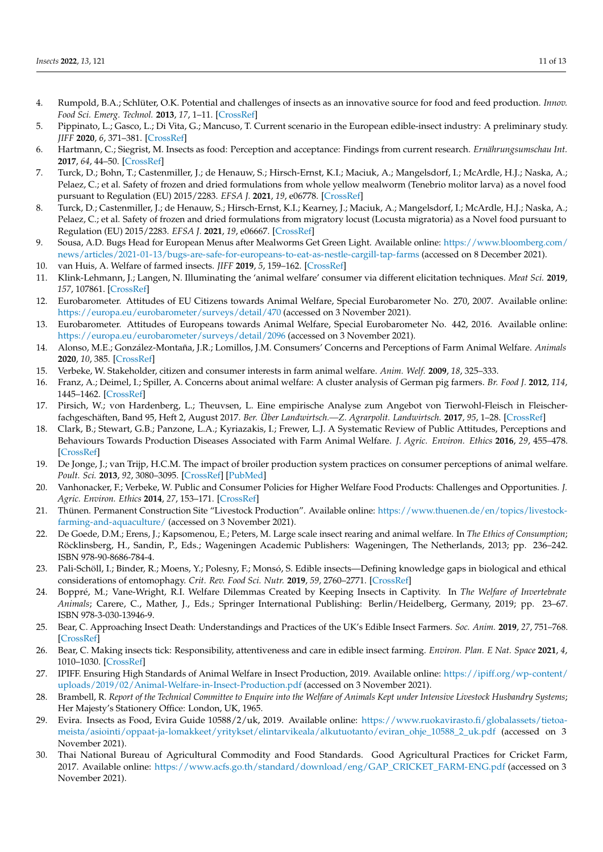- <span id="page-10-0"></span>4. Rumpold, B.A.; Schlüter, O.K. Potential and challenges of insects as an innovative source for food and feed production. *Innov. Food Sci. Emerg. Technol.* **2013**, *17*, 1–11. [\[CrossRef\]](http://doi.org/10.1016/j.ifset.2012.11.005)
- <span id="page-10-1"></span>5. Pippinato, L.; Gasco, L.; Di Vita, G.; Mancuso, T. Current scenario in the European edible-insect industry: A preliminary study. *JIFF* **2020**, *6*, 371–381. [\[CrossRef\]](http://doi.org/10.3920/JIFF2020.0008)
- <span id="page-10-2"></span>6. Hartmann, C.; Siegrist, M. Insects as food: Perception and acceptance: Findings from current research. *Ernährungsumschau Int.* **2017**, *64*, 44–50. [\[CrossRef\]](http://doi.org/10.4455/eu.2017.010)
- <span id="page-10-3"></span>7. Turck, D.; Bohn, T.; Castenmiller, J.; de Henauw, S.; Hirsch-Ernst, K.I.; Maciuk, A.; Mangelsdorf, I.; McArdle, H.J.; Naska, A.; Pelaez, C.; et al. Safety of frozen and dried formulations from whole yellow mealworm (Tenebrio molitor larva) as a novel food pursuant to Regulation (EU) 2015/2283. *EFSA J.* **2021**, *19*, e06778. [\[CrossRef\]](http://doi.org/10.2903/j.efsa.2021.6778)
- <span id="page-10-4"></span>8. Turck, D.; Castenmiller, J.; de Henauw, S.; Hirsch-Ernst, K.I.; Kearney, J.; Maciuk, A.; Mangelsdorf, I.; McArdle, H.J.; Naska, A.; Pelaez, C.; et al. Safety of frozen and dried formulations from migratory locust (Locusta migratoria) as a Novel food pursuant to Regulation (EU) 2015/2283. *EFSA J.* **2021**, *19*, e06667. [\[CrossRef\]](http://doi.org/10.2903/j.efsa.2021.6667)
- <span id="page-10-5"></span>9. Sousa, A.D. Bugs Head for European Menus after Mealworms Get Green Light. Available online: [https://www.bloomberg.com/](https://www.bloomberg.com/news/articles/2021-01-13/bugs-are-safe-for-europeans-to-eat-as-nestle-cargill-tap-farms) [news/articles/2021-01-13/bugs-are-safe-for-europeans-to-eat-as-nestle-cargill-tap-farms](https://www.bloomberg.com/news/articles/2021-01-13/bugs-are-safe-for-europeans-to-eat-as-nestle-cargill-tap-farms) (accessed on 8 December 2021).
- <span id="page-10-6"></span>10. van Huis, A. Welfare of farmed insects. *JIFF* **2019**, *5*, 159–162. [\[CrossRef\]](http://doi.org/10.3920/JIFF2019.x004)
- <span id="page-10-7"></span>11. Klink-Lehmann, J.; Langen, N. Illuminating the 'animal welfare' consumer via different elicitation techniques. *Meat Sci.* **2019**, *157*, 107861. [\[CrossRef\]](http://doi.org/10.1016/j.meatsci.2019.05.032)
- <span id="page-10-8"></span>12. Eurobarometer. Attitudes of EU Citizens towards Animal Welfare, Special Eurobarometer No. 270, 2007. Available online: <https://europa.eu/eurobarometer/surveys/detail/470> (accessed on 3 November 2021).
- <span id="page-10-9"></span>13. Eurobarometer. Attitudes of Europeans towards Animal Welfare, Special Eurobarometer No. 442, 2016. Available online: <https://europa.eu/eurobarometer/surveys/detail/2096> (accessed on 3 November 2021).
- <span id="page-10-10"></span>14. Alonso, M.E.; González-Montaña, J.R.; Lomillos, J.M. Consumers' Concerns and Perceptions of Farm Animal Welfare. *Animals* **2020**, *10*, 385. [\[CrossRef\]](http://doi.org/10.3390/ani10030385)
- <span id="page-10-11"></span>15. Verbeke, W. Stakeholder, citizen and consumer interests in farm animal welfare. *Anim. Welf.* **2009**, *18*, 325–333.
- <span id="page-10-13"></span>16. Franz, A.; Deimel, I.; Spiller, A. Concerns about animal welfare: A cluster analysis of German pig farmers. *Br. Food J.* **2012**, *114*, 1445–1462. [\[CrossRef\]](http://doi.org/10.1108/00070701211263019)
- <span id="page-10-12"></span>17. Pirsich, W.; von Hardenberg, L.; Theuvsen, L. Eine empirische Analyse zum Angebot von Tierwohl-Fleisch in Fleischerfachgeschäften, Band 95, Heft 2, August 2017. *Ber. Über Landwirtsch.—Z. Agrarpolit. Landwirtsch.* **2017**, *95*, 1–28. [\[CrossRef\]](http://doi.org/10.12767/buel.v95i2.165)
- <span id="page-10-14"></span>18. Clark, B.; Stewart, G.B.; Panzone, L.A.; Kyriazakis, I.; Frewer, L.J. A Systematic Review of Public Attitudes, Perceptions and Behaviours Towards Production Diseases Associated with Farm Animal Welfare. *J. Agric. Environ. Ethics* **2016**, *29*, 455–478. [\[CrossRef\]](http://doi.org/10.1007/s10806-016-9615-x)
- <span id="page-10-24"></span>19. De Jonge, J.; van Trijp, H.C.M. The impact of broiler production system practices on consumer perceptions of animal welfare. *Poult. Sci.* **2013**, *92*, 3080–3095. [\[CrossRef\]](http://doi.org/10.3382/ps.2013-03334) [\[PubMed\]](http://www.ncbi.nlm.nih.gov/pubmed/24235215)
- <span id="page-10-15"></span>20. Vanhonacker, F.; Verbeke, W. Public and Consumer Policies for Higher Welfare Food Products: Challenges and Opportunities. *J. Agric. Environ. Ethics* **2014**, *27*, 153–171. [\[CrossRef\]](http://doi.org/10.1007/s10806-013-9479-2)
- <span id="page-10-16"></span>21. Thünen. Permanent Construction Site "Livestock Production". Available online: [https://www.thuenen.de/en/topics/livestock](https://www.thuenen.de/en/topics/livestock-farming-and-aquaculture/)[farming-and-aquaculture/](https://www.thuenen.de/en/topics/livestock-farming-and-aquaculture/) (accessed on 3 November 2021).
- <span id="page-10-17"></span>22. De Goede, D.M.; Erens, J.; Kapsomenou, E.; Peters, M. Large scale insect rearing and animal welfare. In *The Ethics of Consumption*; Röcklinsberg, H., Sandin, P., Eds.; Wageningen Academic Publishers: Wageningen, The Netherlands, 2013; pp. 236–242. ISBN 978-90-8686-784-4.
- <span id="page-10-21"></span>23. Pali-Schöll, I.; Binder, R.; Moens, Y.; Polesny, F.; Monsó, S. Edible insects—Defining knowledge gaps in biological and ethical considerations of entomophagy. *Crit. Rev. Food Sci. Nutr.* **2019**, *59*, 2760–2771. [\[CrossRef\]](http://doi.org/10.1080/10408398.2018.1468731)
- <span id="page-10-26"></span>24. Boppré, M.; Vane-Wright, R.I. Welfare Dilemmas Created by Keeping Insects in Captivity. In *The Welfare of Invertebrate Animals*; Carere, C., Mather, J., Eds.; Springer International Publishing: Berlin/Heidelberg, Germany, 2019; pp. 23–67. ISBN 978-3-030-13946-9.
- <span id="page-10-25"></span>25. Bear, C. Approaching Insect Death: Understandings and Practices of the UK's Edible Insect Farmers. *Soc. Anim.* **2019**, *27*, 751–768. [\[CrossRef\]](http://doi.org/10.1163/15685306-00001871)
- <span id="page-10-18"></span>26. Bear, C. Making insects tick: Responsibility, attentiveness and care in edible insect farming. *Environ. Plan. E Nat. Space* **2021**, *4*, 1010–1030. [\[CrossRef\]](http://doi.org/10.1177/2514848620945321)
- <span id="page-10-19"></span>27. IPIFF. Ensuring High Standards of Animal Welfare in Insect Production, 2019. Available online: [https://ipiff.org/wp-content/](https://ipiff.org/wp-content/uploads/2019/02/Animal-Welfare-in-Insect-Production.pdf) [uploads/2019/02/Animal-Welfare-in-Insect-Production.pdf](https://ipiff.org/wp-content/uploads/2019/02/Animal-Welfare-in-Insect-Production.pdf) (accessed on 3 November 2021).
- <span id="page-10-20"></span>28. Brambell, R. *Report of the Technical Committee to Enquire into the Welfare of Animals Kept under Intensive Livestock Husbandry Systems*; Her Majesty's Stationery Office: London, UK, 1965.
- <span id="page-10-22"></span>29. Evira. Insects as Food, Evira Guide 10588/2/uk, 2019. Available online: [https://www.ruokavirasto.fi/globalassets/tietoa](https://www.ruokavirasto.fi/globalassets/tietoa-meista/asiointi/oppaat-ja-lomakkeet/yritykset/elintarvikeala/alkutuotanto/eviran_ohje_10588_2_uk.pdf)[meista/asiointi/oppaat-ja-lomakkeet/yritykset/elintarvikeala/alkutuotanto/eviran\\_ohje\\_10588\\_2\\_uk.pdf](https://www.ruokavirasto.fi/globalassets/tietoa-meista/asiointi/oppaat-ja-lomakkeet/yritykset/elintarvikeala/alkutuotanto/eviran_ohje_10588_2_uk.pdf) (accessed on 3 November 2021).
- <span id="page-10-23"></span>30. Thai National Bureau of Agricultural Commodity and Food Standards. Good Agricultural Practices for Cricket Farm, 2017. Available online: [https://www.acfs.go.th/standard/download/eng/GAP\\_CRICKET\\_FARM-ENG.pdf](https://www.acfs.go.th/standard/download/eng/GAP_CRICKET_FARM-ENG.pdf) (accessed on 3 November 2021).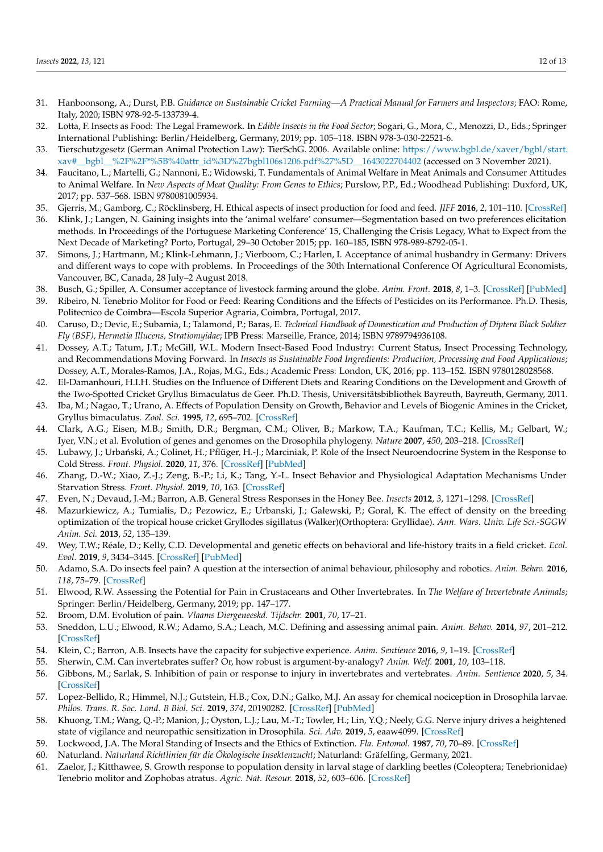- <span id="page-11-0"></span>31. Hanboonsong, A.; Durst, P.B. *Guidance on Sustainable Cricket Farming—A Practical Manual for Farmers and Inspectors*; FAO: Rome, Italy, 2020; ISBN 978-92-5-133739-4.
- <span id="page-11-1"></span>32. Lotta, F. Insects as Food: The Legal Framework. In *Edible Insects in the Food Sector*; Sogari, G., Mora, C., Menozzi, D., Eds.; Springer International Publishing: Berlin/Heidelberg, Germany, 2019; pp. 105–118. ISBN 978-3-030-22521-6.
- <span id="page-11-2"></span>33. Tierschutzgesetz (German Animal Protection Law): TierSchG. 2006. Available online: [https://www.bgbl.de/xaver/bgbl/start.](https://www.bgbl.de/xaver/bgbl/start.xav#__bgbl__%2F%2F*%5B%40attr_id%3D%27bgbl106s1206.pdf%27%5D__1643022704402) [xav#\\_\\_bgbl\\_\\_%2F%2F\\*%5B%40attr\\_id%3D%27bgbl106s1206.pdf%27%5D\\_\\_1643022704402](https://www.bgbl.de/xaver/bgbl/start.xav#__bgbl__%2F%2F*%5B%40attr_id%3D%27bgbl106s1206.pdf%27%5D__1643022704402) (accessed on 3 November 2021).
- <span id="page-11-3"></span>34. Faucitano, L.; Martelli, G.; Nannoni, E.; Widowski, T. Fundamentals of Animal Welfare in Meat Animals and Consumer Attitudes to Animal Welfare. In *New Aspects of Meat Quality: From Genes to Ethics*; Purslow, P.P., Ed.; Woodhead Publishing: Duxford, UK, 2017; pp. 537–568. ISBN 9780081005934.
- <span id="page-11-4"></span>35. Gjerris, M.; Gamborg, C.; Röcklinsberg, H. Ethical aspects of insect production for food and feed. *JIFF* **2016**, *2*, 101–110. [\[CrossRef\]](http://doi.org/10.3920/JIFF2015.0097)
- <span id="page-11-5"></span>36. Klink, J.; Langen, N. Gaining insights into the 'animal welfare' consumer—Segmentation based on two preferences elicitation methods. In Proceedings of the Portuguese Marketing Conference' 15, Challenging the Crisis Legacy, What to Expect from the Next Decade of Marketing? Porto, Portugal, 29–30 October 2015; pp. 160–185, ISBN 978-989-8792-05-1.
- <span id="page-11-6"></span>37. Simons, J.; Hartmann, M.; Klink-Lehmann, J.; Vierboom, C.; Harlen, I. Acceptance of animal husbandry in Germany: Drivers and different ways to cope with problems. In Proceedings of the 30th International Conference Of Agricultural Economists, Vancouver, BC, Canada, 28 July–2 August 2018.
- <span id="page-11-7"></span>38. Busch, G.; Spiller, A. Consumer acceptance of livestock farming around the globe. *Anim. Front.* **2018**, *8*, 1–3. [\[CrossRef\]](http://doi.org/10.1093/af/vfx005) [\[PubMed\]](http://www.ncbi.nlm.nih.gov/pubmed/32002207)
- <span id="page-11-8"></span>39. Ribeiro, N. Tenebrio Molitor for Food or Feed: Rearing Conditions and the Effects of Pesticides on its Performance. Ph.D. Thesis, Politecnico de Coimbra—Escola Superior Agraria, Coimbra, Portugal, 2017.
- <span id="page-11-9"></span>40. Caruso, D.; Devic, E.; Subamia, I.; Talamond, P.; Baras, E. *Technical Handbook of Domestication and Production of Diptera Black Soldier Fly (BSF), Hermetia Illucens, Stratiomyidae*; IPB Press: Marseille, France, 2014; ISBN 9789794936108.
- <span id="page-11-10"></span>41. Dossey, A.T.; Tatum, J.T.; McGill, W.L. Modern Insect-Based Food Industry: Current Status, Insect Processing Technology, and Recommendations Moving Forward. In *Insects as Sustainable Food Ingredients: Production, Processing and Food Applications*; Dossey, A.T., Morales-Ramos, J.A., Rojas, M.G., Eds.; Academic Press: London, UK, 2016; pp. 113–152. ISBN 9780128028568.
- <span id="page-11-11"></span>42. El-Damanhouri, H.I.H. Studies on the Influence of Different Diets and Rearing Conditions on the Development and Growth of the Two-Spotted Cricket Gryllus Bimaculatus de Geer. Ph.D. Thesis, Universitätsbibliothek Bayreuth, Bayreuth, Germany, 2011.
- <span id="page-11-12"></span>43. Iba, M.; Nagao, T.; Urano, A. Effects of Population Density on Growth, Behavior and Levels of Biogenic Amines in the Cricket, Gryllus bimaculatus. *Zool. Sci.* **1995**, *12*, 695–702. [\[CrossRef\]](http://doi.org/10.2108/zsj.12.695)
- <span id="page-11-13"></span>44. Clark, A.G.; Eisen, M.B.; Smith, D.R.; Bergman, C.M.; Oliver, B.; Markow, T.A.; Kaufman, T.C.; Kellis, M.; Gelbart, W.; Iyer, V.N.; et al. Evolution of genes and genomes on the Drosophila phylogeny. *Nature* **2007**, *450*, 203–218. [\[CrossRef\]](http://doi.org/10.1038/nature06341)
- 45. Lubawy, J.; Urbański, A.; Colinet, H.; Pflüger, H.-J.; Marciniak, P. Role of the Insect Neuroendocrine System in the Response to Cold Stress. *Front. Physiol.* **2020**, *11*, 376. [\[CrossRef\]](http://doi.org/10.3389/fphys.2020.00376) [\[PubMed\]](http://www.ncbi.nlm.nih.gov/pubmed/32390871)
- <span id="page-11-14"></span>46. Zhang, D.-W.; Xiao, Z.-J.; Zeng, B.-P.; Li, K.; Tang, Y.-L. Insect Behavior and Physiological Adaptation Mechanisms Under Starvation Stress. *Front. Physiol.* **2019**, *10*, 163. [\[CrossRef\]](http://doi.org/10.3389/fphys.2019.00163)
- <span id="page-11-15"></span>47. Even, N.; Devaud, J.-M.; Barron, A.B. General Stress Responses in the Honey Bee. *Insects* **2012**, *3*, 1271–1298. [\[CrossRef\]](http://doi.org/10.3390/insects3041271)
- <span id="page-11-16"></span>48. Mazurkiewicz, A.; Tumialis, D.; Pezowicz, E.; Urbanski, J.; Galewski, P.; Goral, K. The effect of density on the breeding optimization of the tropical house cricket Gryllodes sigillatus (Walker)(Orthoptera: Gryllidae). *Ann. Wars. Univ. Life Sci.-SGGW Anim. Sci.* **2013**, *52*, 135–139.
- <span id="page-11-17"></span>49. Wey, T.W.; Réale, D.; Kelly, C.D. Developmental and genetic effects on behavioral and life-history traits in a field cricket. *Ecol. Evol.* **2019**, *9*, 3434–3445. [\[CrossRef\]](http://doi.org/10.1002/ece3.4975) [\[PubMed\]](http://www.ncbi.nlm.nih.gov/pubmed/30962903)
- <span id="page-11-18"></span>50. Adamo, S.A. Do insects feel pain? A question at the intersection of animal behaviour, philosophy and robotics. *Anim. Behav.* **2016**, *118*, 75–79. [\[CrossRef\]](http://doi.org/10.1016/j.anbehav.2016.05.005)
- <span id="page-11-19"></span>51. Elwood, R.W. Assessing the Potential for Pain in Crustaceans and Other Invertebrates. In *The Welfare of Invertebrate Animals*; Springer: Berlin/Heidelberg, Germany, 2019; pp. 147–177.
- <span id="page-11-20"></span>52. Broom, D.M. Evolution of pain. *Vlaams Diergeneeskd. Tijdschr.* **2001**, *70*, 17–21.
- <span id="page-11-21"></span>53. Sneddon, L.U.; Elwood, R.W.; Adamo, S.A.; Leach, M.C. Defining and assessing animal pain. *Anim. Behav.* **2014**, *97*, 201–212. [\[CrossRef\]](http://doi.org/10.1016/j.anbehav.2014.09.007)
- <span id="page-11-22"></span>54. Klein, C.; Barron, A.B. Insects have the capacity for subjective experience. *Anim. Sentience* **2016**, *9*, 1–19. [\[CrossRef\]](http://doi.org/10.51291/2377-7478.1113)
- <span id="page-11-23"></span>55. Sherwin, C.M. Can invertebrates suffer? Or, how robust is argument-by-analogy? *Anim. Welf.* **2001**, *10*, 103–118.
- <span id="page-11-24"></span>56. Gibbons, M.; Sarlak, S. Inhibition of pain or response to injury in invertebrates and vertebrates. *Anim. Sentience* **2020**, *5*, 34. [\[CrossRef\]](http://doi.org/10.51291/2377-7478.1649)
- <span id="page-11-25"></span>57. Lopez-Bellido, R.; Himmel, N.J.; Gutstein, H.B.; Cox, D.N.; Galko, M.J. An assay for chemical nociception in Drosophila larvae. *Philos. Trans. R. Soc. Lond. B Biol. Sci.* **2019**, *374*, 20190282. [\[CrossRef\]](http://doi.org/10.1098/rstb.2019.0282) [\[PubMed\]](http://www.ncbi.nlm.nih.gov/pubmed/31544619)
- <span id="page-11-26"></span>58. Khuong, T.M.; Wang, Q.-P.; Manion, J.; Oyston, L.J.; Lau, M.-T.; Towler, H.; Lin, Y.Q.; Neely, G.G. Nerve injury drives a heightened state of vigilance and neuropathic sensitization in Drosophila. *Sci. Adv.* **2019**, *5*, eaaw4099. [\[CrossRef\]](http://doi.org/10.1126/sciadv.aaw4099)
- <span id="page-11-27"></span>59. Lockwood, J.A. The Moral Standing of Insects and the Ethics of Extinction. *Fla. Entomol.* **1987**, *70*, 70–89. [\[CrossRef\]](http://doi.org/10.2307/3495093)
- <span id="page-11-28"></span>60. Naturland. *Naturland Richtlinien für die Ökologische Insektenzucht*; Naturland: Gräfelfing, Germany, 2021.
- <span id="page-11-29"></span>61. Zaelor, J.; Kitthawee, S. Growth response to population density in larval stage of darkling beetles (Coleoptera; Tenebrionidae) Tenebrio molitor and Zophobas atratus. *Agric. Nat. Resour.* **2018**, *52*, 603–606. [\[CrossRef\]](http://doi.org/10.1016/j.anres.2018.11.004)